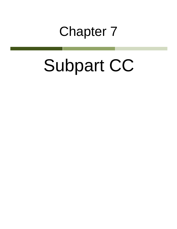## Chapter 7

# Subpart CC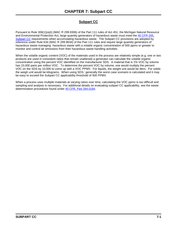### **Subpart CC**

Pursuant to Rule 306(1)(a)(i) (MAC R 299.9306) of the Part 111 rules of Act 451, the Michigan Natural Resource and Environmental Protection Act, large quantity generators of hazardous waste must meet the [40 CFR 265,](http://www.gpo.gov/fdsys/pkg/CFR-2013-title40-vol27/pdf/CFR-2013-title40-vol27-part265-subpartCC.pdf)  [Subpart CC](http://www.gpo.gov/fdsys/pkg/CFR-2013-title40-vol27/pdf/CFR-2013-title40-vol27-part265-subpartCC.pdf) requirements when accumulating hazardous waste. The Subpart CC provisions are adopted by reference under Rule 634 (MAC R 299.9634) of the Part 111 rules and require large quantity generators of hazardous waste managing hazardous waste with a volatile organic concentration of 500 ppmv or greater to monitor and control air emissions from their hazardous waste handling activities.

When the volatile organic content (VOC) of the materials used in the process are relatively simple (e.g. one or two products are used in consistent ratios that remain unaltered) a generator can calculate the volatile organic concentration using the percent VOC identified on the manufacturer SDS. A material that is 1% VOC by volume has 10,000 parts per million VOC. To determine the percent VOC by volume, one would multiply the percent VOC on the SDS by 10,000 to come up with a VOC PPMV. For liquids, the weight unit would be liters. For solids the weigh unit would be kilograms. When using SDS,' generally the worst case scenario is calculated and it may be easy to exceed the Subpart CC applicability threshold of 500 PPMV.

When a process uses multiple materials at varying ratios over time, calculating the VOC ppmv is too difficult and sampling and analysis is necessary. For additional details on evaluating subpart CC applicability, see the waste determination procedures found under [40 CFR, Part 264.0184.](http://www.gpo.gov/fdsys/pkg/CFR-2013-title40-vol27/pdf/CFR-2013-title40-vol27-sec265-1084.pdf)